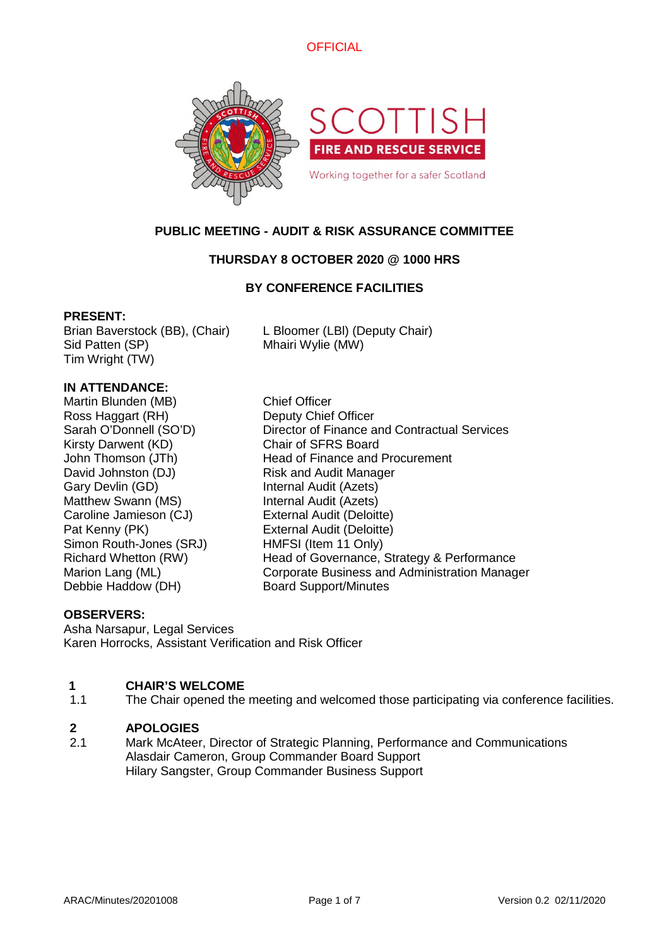



### **PUBLIC MEETING - AUDIT & RISK ASSURANCE COMMITTEE**

### **THURSDAY 8 OCTOBER 2020 @ 1000 HRS**

### **BY CONFERENCE FACILITIES**

### **PRESENT:**

Brian Baverstock (BB), (Chair) L Bloomer (LBI) (Deputy Chair)<br>Sid Patten (SP) Mhairi Wylie (MW) Tim Wright (TW)

Mhairi Wylie (MW)

# **IN ATTENDANCE:**

Martin Blunden (MB) Chief Officer Ross Haggart (RH) Deputy Chief Officer Kirsty Darwent (KD) Chair of SFRS Board David Johnston (DJ) Risk and Audit Manager Gary Devlin (GD) Internal Audit (Azets) Matthew Swann (MS) **Internal Audit (Azets)** Caroline Jamieson (CJ) External Audit (Deloitte) Pat Kenny (PK) External Audit (Deloitte) Simon Routh-Jones (SRJ) HMFSI (Item 11 Only) Debbie Haddow (DH) Board Support/Minutes

Sarah O'Donnell (SO'D) Director of Finance and Contractual Services John Thomson (JTh) Head of Finance and Procurement Richard Whetton (RW) Head of Governance, Strategy & Performance Marion Lang (ML) Corporate Business and Administration Manager

### **OBSERVERS:**

Asha Narsapur, Legal Services Karen Horrocks, Assistant Verification and Risk Officer

# **1 CHAIR'S WELCOME**

The Chair opened the meeting and welcomed those participating via conference facilities.

### **2 APOLOGIES**

2.1 Mark McAteer, Director of Strategic Planning, Performance and Communications Alasdair Cameron, Group Commander Board Support Hilary Sangster, Group Commander Business Support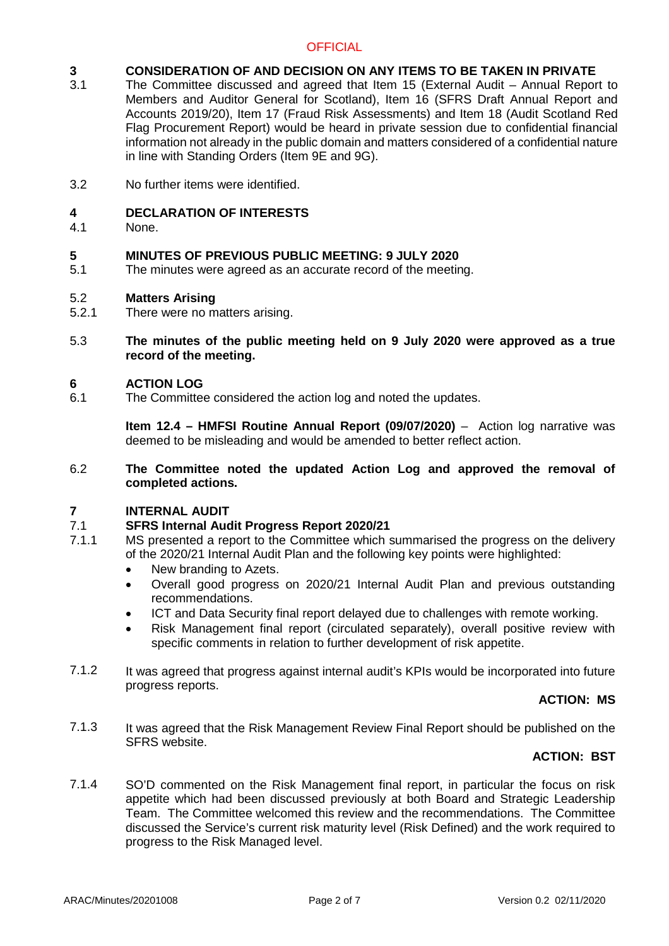### **3 CONSIDERATION OF AND DECISION ON ANY ITEMS TO BE TAKEN IN PRIVATE**

- 3.1 The Committee discussed and agreed that Item 15 (External Audit – Annual Report to Members and Auditor General for Scotland), Item 16 (SFRS Draft Annual Report and Accounts 2019/20), Item 17 (Fraud Risk Assessments) and Item 18 (Audit Scotland Red Flag Procurement Report) would be heard in private session due to confidential financial information not already in the public domain and matters considered of a confidential nature in line with Standing Orders (Item 9E and 9G).
- 3.2 No further items were identified.

#### **4 DECLARATION OF INTERESTS**

4.1 None.

### **5 MINUTES OF PREVIOUS PUBLIC MEETING: 9 JULY 2020**

5.1 The minutes were agreed as an accurate record of the meeting.

#### 5.2 **Matters Arising**

- 5.2.1 There were no matters arising.
- 5.3 **The minutes of the public meeting held on 9 July 2020 were approved as a true record of the meeting.**

#### **6 ACTION LOG**

6.1 The Committee considered the action log and noted the updates.

> **Item 12.4 – HMFSI Routine Annual Report (09/07/2020)** – Action log narrative was deemed to be misleading and would be amended to better reflect action.

6.2 **The Committee noted the updated Action Log and approved the removal of completed actions.**

#### **7 INTERNAL AUDIT**

#### 7.1 **SFRS Internal Audit Progress Report 2020/21**

- 7.1.1 MS presented a report to the Committee which summarised the progress on the delivery of the 2020/21 Internal Audit Plan and the following key points were highlighted:
	- New branding to Azets.
	- Overall good progress on 2020/21 Internal Audit Plan and previous outstanding recommendations.
	- ICT and Data Security final report delayed due to challenges with remote working.
	- Risk Management final report (circulated separately), overall positive review with specific comments in relation to further development of risk appetite.
- 7.1.2 It was agreed that progress against internal audit's KPIs would be incorporated into future progress reports.

### **ACTION: MS**

7.1.3 It was agreed that the Risk Management Review Final Report should be published on the SFRS website.

### **ACTION: BST**

7.1.4 SO'D commented on the Risk Management final report, in particular the focus on risk appetite which had been discussed previously at both Board and Strategic Leadership Team. The Committee welcomed this review and the recommendations. The Committee discussed the Service's current risk maturity level (Risk Defined) and the work required to progress to the Risk Managed level.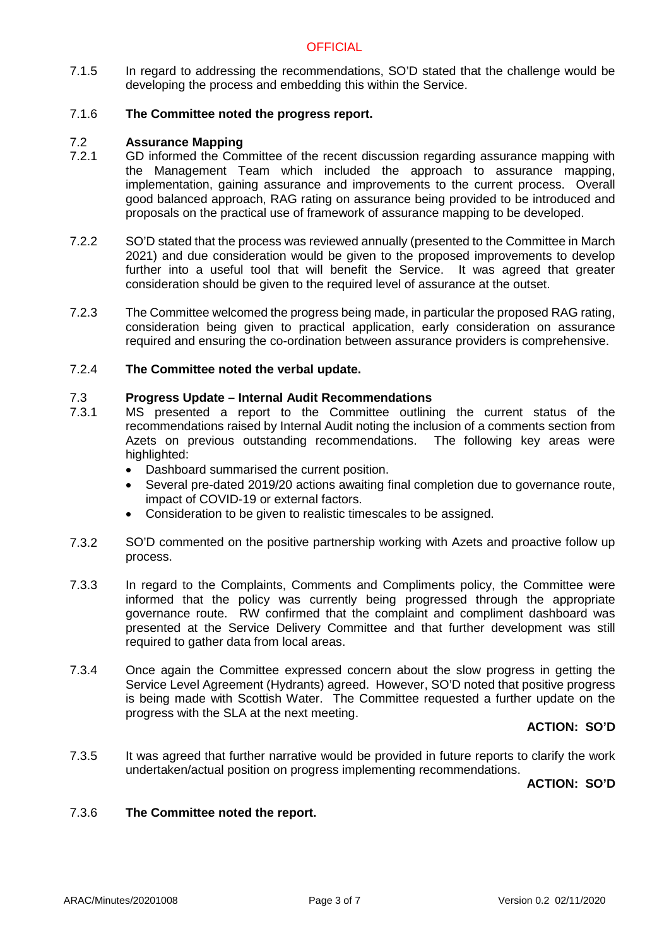7.1.5 In regard to addressing the recommendations, SO'D stated that the challenge would be developing the process and embedding this within the Service.

#### 7.1.6 **The Committee noted the progress report.**

#### 7.2 **Assurance Mapping**

- 7.2.1 GD informed the Committee of the recent discussion regarding assurance mapping with the Management Team which included the approach to assurance mapping, implementation, gaining assurance and improvements to the current process. Overall good balanced approach, RAG rating on assurance being provided to be introduced and proposals on the practical use of framework of assurance mapping to be developed.
- 7.2.2 SO'D stated that the process was reviewed annually (presented to the Committee in March 2021) and due consideration would be given to the proposed improvements to develop further into a useful tool that will benefit the Service. It was agreed that greater consideration should be given to the required level of assurance at the outset.
- 7.2.3 The Committee welcomed the progress being made, in particular the proposed RAG rating, consideration being given to practical application, early consideration on assurance required and ensuring the co-ordination between assurance providers is comprehensive.

#### 7.2.4 **The Committee noted the verbal update.**

#### 7.3 **Progress Update – Internal Audit Recommendations**

- 7.3.1 MS presented a report to the Committee outlining the current status of the recommendations raised by Internal Audit noting the inclusion of a comments section from Azets on previous outstanding recommendations. The following key areas were highlighted:
	- Dashboard summarised the current position.
	- Several pre-dated 2019/20 actions awaiting final completion due to governance route, impact of COVID-19 or external factors.
	- Consideration to be given to realistic timescales to be assigned.
- 7.3.2 SO'D commented on the positive partnership working with Azets and proactive follow up process.
- 7.3.3 In regard to the Complaints, Comments and Compliments policy, the Committee were informed that the policy was currently being progressed through the appropriate governance route. RW confirmed that the complaint and compliment dashboard was presented at the Service Delivery Committee and that further development was still required to gather data from local areas.
- 7.3.4 Once again the Committee expressed concern about the slow progress in getting the Service Level Agreement (Hydrants) agreed. However, SO'D noted that positive progress is being made with Scottish Water. The Committee requested a further update on the progress with the SLA at the next meeting.

### **ACTION: SO'D**

7.3.5 It was agreed that further narrative would be provided in future reports to clarify the work undertaken/actual position on progress implementing recommendations.

**ACTION: SO'D**

#### 7.3.6 **The Committee noted the report.**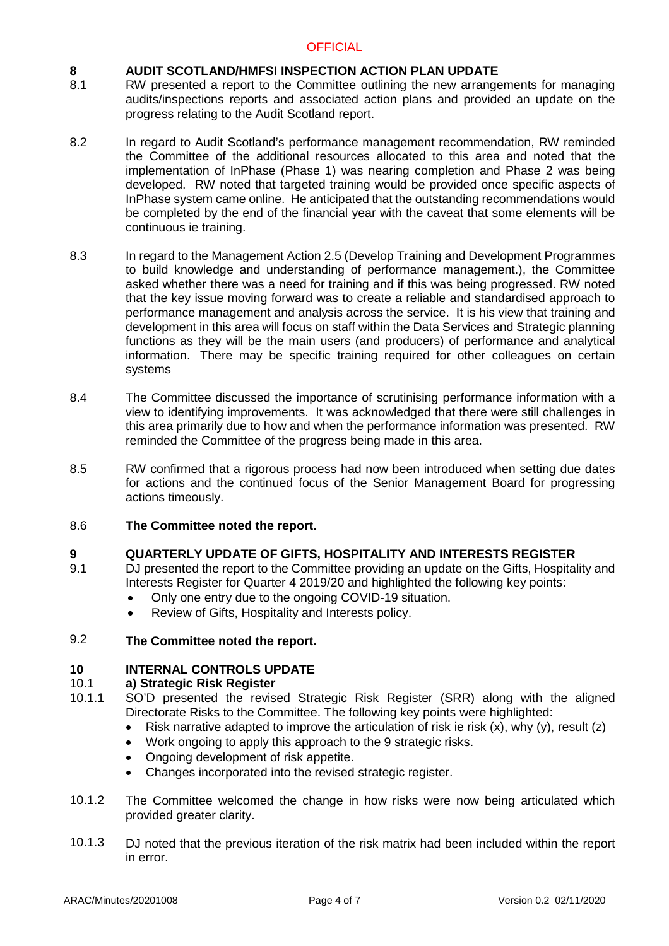#### **8 AUDIT SCOTLAND/HMFSI INSPECTION ACTION PLAN UPDATE**

- 8.1 RW presented a report to the Committee outlining the new arrangements for managing audits/inspections reports and associated action plans and provided an update on the progress relating to the Audit Scotland report.
- 8.2 In regard to Audit Scotland's performance management recommendation, RW reminded the Committee of the additional resources allocated to this area and noted that the implementation of InPhase (Phase 1) was nearing completion and Phase 2 was being developed. RW noted that targeted training would be provided once specific aspects of InPhase system came online. He anticipated that the outstanding recommendations would be completed by the end of the financial year with the caveat that some elements will be continuous ie training.
- 8.3 In regard to the Management Action 2.5 (Develop Training and Development Programmes to build knowledge and understanding of performance management.), the Committee asked whether there was a need for training and if this was being progressed. RW noted that the key issue moving forward was to create a reliable and standardised approach to performance management and analysis across the service. It is his view that training and development in this area will focus on staff within the Data Services and Strategic planning functions as they will be the main users (and producers) of performance and analytical information. There may be specific training required for other colleagues on certain systems
- 8.4 The Committee discussed the importance of scrutinising performance information with a view to identifying improvements. It was acknowledged that there were still challenges in this area primarily due to how and when the performance information was presented. RW reminded the Committee of the progress being made in this area.
- 8.5 RW confirmed that a rigorous process had now been introduced when setting due dates for actions and the continued focus of the Senior Management Board for progressing actions timeously.
- 8.6 **The Committee noted the report.**

#### **9 QUARTERLY UPDATE OF GIFTS, HOSPITALITY AND INTERESTS REGISTER**

- 9.1 DJ presented the report to the Committee providing an update on the Gifts, Hospitality and Interests Register for Quarter 4 2019/20 and highlighted the following key points:
	- Only one entry due to the ongoing COVID-19 situation.
	- Review of Gifts, Hospitality and Interests policy.
- 9.2 **The Committee noted the report.**

#### **10 INTERNAL CONTROLS UPDATE**

#### 10.1 **a) Strategic Risk Register**

- 10.1.1 SO'D presented the revised Strategic Risk Register (SRR) along with the aligned Directorate Risks to the Committee. The following key points were highlighted:
	- Risk narrative adapted to improve the articulation of risk ie risk  $(x)$ , why  $(y)$ , result  $(z)$
	- Work ongoing to apply this approach to the 9 strategic risks.
	- Ongoing development of risk appetite.
	- Changes incorporated into the revised strategic register.
- 10.1.2 The Committee welcomed the change in how risks were now being articulated which provided greater clarity.
- 10.1.3 DJ noted that the previous iteration of the risk matrix had been included within the report in error.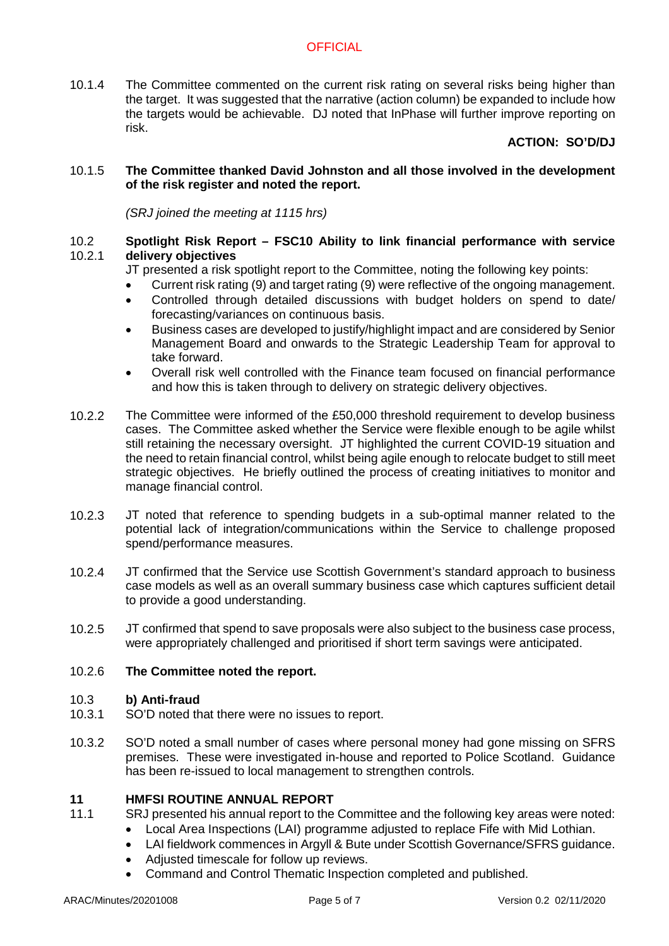10.1.4 The Committee commented on the current risk rating on several risks being higher than the target. It was suggested that the narrative (action column) be expanded to include how the targets would be achievable. DJ noted that InPhase will further improve reporting on risk.

### **ACTION: SO'D/DJ**

### 10.1.5 **The Committee thanked David Johnston and all those involved in the development of the risk register and noted the report.**

*(SRJ joined the meeting at 1115 hrs)*

#### 10.2 10.2.1 **Spotlight Risk Report – FSC10 Ability to link financial performance with service delivery objectives**

- JT presented a risk spotlight report to the Committee, noting the following key points:
- Current risk rating (9) and target rating (9) were reflective of the ongoing management.
- Controlled through detailed discussions with budget holders on spend to date/ forecasting/variances on continuous basis.
- Business cases are developed to justify/highlight impact and are considered by Senior Management Board and onwards to the Strategic Leadership Team for approval to take forward.
- Overall risk well controlled with the Finance team focused on financial performance and how this is taken through to delivery on strategic delivery objectives.
- 10.2.2 The Committee were informed of the £50,000 threshold requirement to develop business cases. The Committee asked whether the Service were flexible enough to be agile whilst still retaining the necessary oversight. JT highlighted the current COVID-19 situation and the need to retain financial control, whilst being agile enough to relocate budget to still meet strategic objectives. He briefly outlined the process of creating initiatives to monitor and manage financial control.
- 10.2.3 JT noted that reference to spending budgets in a sub-optimal manner related to the potential lack of integration/communications within the Service to challenge proposed spend/performance measures.
- 10.2.4 JT confirmed that the Service use Scottish Government's standard approach to business case models as well as an overall summary business case which captures sufficient detail to provide a good understanding.
- 10.2.5 JT confirmed that spend to save proposals were also subject to the business case process, were appropriately challenged and prioritised if short term savings were anticipated.

#### 10.2.6 **The Committee noted the report.**

#### 10.3 **b) Anti-fraud**

- 10.3.1 SO'D noted that there were no issues to report.
- 10.3.2 SO'D noted a small number of cases where personal money had gone missing on SFRS premises. These were investigated in-house and reported to Police Scotland. Guidance has been re-issued to local management to strengthen controls.

### **11 HMFSI ROUTINE ANNUAL REPORT**

- 11.1 SRJ presented his annual report to the Committee and the following key areas were noted:
	- Local Area Inspections (LAI) programme adjusted to replace Fife with Mid Lothian.
	- LAI fieldwork commences in Argyll & Bute under Scottish Governance/SFRS guidance.
	- Adjusted timescale for follow up reviews.
	- Command and Control Thematic Inspection completed and published.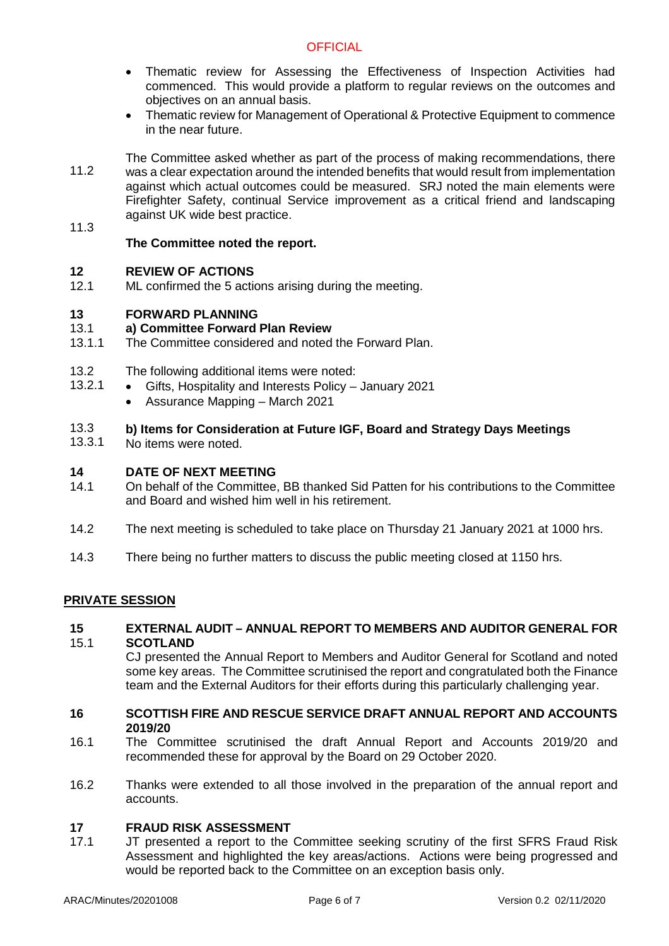- Thematic review for Assessing the Effectiveness of Inspection Activities had commenced. This would provide a platform to regular reviews on the outcomes and objectives on an annual basis.
- Thematic review for Management of Operational & Protective Equipment to commence in the near future.
- 11.2 11.3 The Committee asked whether as part of the process of making recommendations, there was a clear expectation around the intended benefits that would result from implementation against which actual outcomes could be measured. SRJ noted the main elements were Firefighter Safety, continual Service improvement as a critical friend and landscaping against UK wide best practice.
	- **The Committee noted the report.**

#### **12 REVIEW OF ACTIONS**

12.1 ML confirmed the 5 actions arising during the meeting.

#### **13 FORWARD PLANNING**

#### 13.1 **a) Committee Forward Plan Review**

- 13.1.1 The Committee considered and noted the Forward Plan.
- 13.2 The following additional items were noted:
- 13.2.1 Gifts, Hospitality and Interests Policy – January 2021
	- Assurance Mapping March 2021

#### 13.3 **b) Items for Consideration at Future IGF, Board and Strategy Days Meetings**

13.3.1 No items were noted.

#### **14 DATE OF NEXT MEETING**

- 14.1 On behalf of the Committee, BB thanked Sid Patten for his contributions to the Committee and Board and wished him well in his retirement.
- 14.2 The next meeting is scheduled to take place on Thursday 21 January 2021 at 1000 hrs.
- 14.3 There being no further matters to discuss the public meeting closed at 1150 hrs.

### **PRIVATE SESSION**

#### **15** 15.1 **EXTERNAL AUDIT – ANNUAL REPORT TO MEMBERS AND AUDITOR GENERAL FOR SCOTLAND**

CJ presented the Annual Report to Members and Auditor General for Scotland and noted some key areas. The Committee scrutinised the report and congratulated both the Finance team and the External Auditors for their efforts during this particularly challenging year.

### **16 SCOTTISH FIRE AND RESCUE SERVICE DRAFT ANNUAL REPORT AND ACCOUNTS 2019/20**

- 16.1 The Committee scrutinised the draft Annual Report and Accounts 2019/20 and recommended these for approval by the Board on 29 October 2020.
- 16.2 Thanks were extended to all those involved in the preparation of the annual report and accounts.

#### **17 FRAUD RISK ASSESSMENT**

17.1 JT presented a report to the Committee seeking scrutiny of the first SFRS Fraud Risk Assessment and highlighted the key areas/actions. Actions were being progressed and would be reported back to the Committee on an exception basis only.